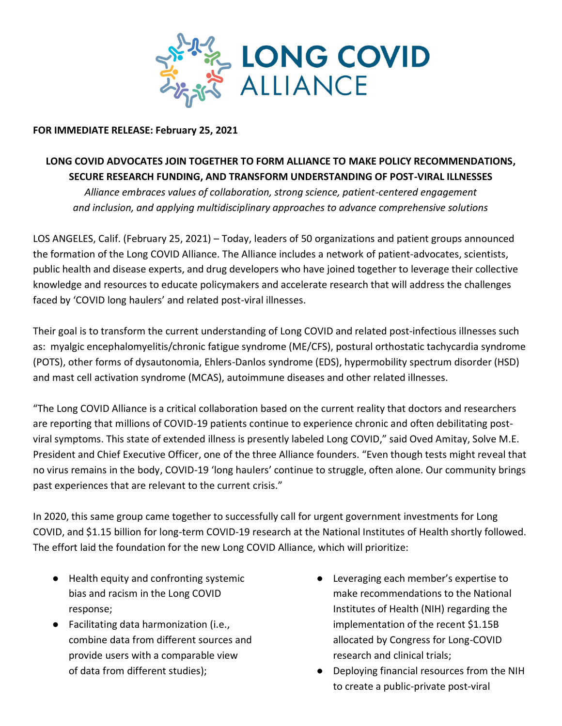

## **FOR IMMEDIATE RELEASE: February 25, 2021**

# **LONG COVID ADVOCATES JOIN TOGETHER TO FORM ALLIANCE TO MAKE POLICY RECOMMENDATIONS, SECURE RESEARCH FUNDING, AND TRANSFORM UNDERSTANDING OF POST-VIRAL ILLNESSES**

*Alliance embraces values of collaboration, strong science, patient-centered engagement and inclusion, and applying multidisciplinary approaches to advance comprehensive solutions*

LOS ANGELES, Calif. (February 25, 2021) – Today, leaders of 50 organizations and patient groups announced the formation of the Long COVID Alliance. The Alliance includes a network of patient-advocates, scientists, public health and disease experts, and drug developers who have joined together to leverage their collective knowledge and resources to educate policymakers and accelerate research that will address the challenges faced by 'COVID long haulers' and related post-viral illnesses.

Their goal is to transform the current understanding of Long COVID and related post-infectious illnesses such as: myalgic encephalomyelitis/chronic fatigue syndrome (ME/CFS), postural orthostatic tachycardia syndrome (POTS), other forms of dysautonomia, Ehlers-Danlos syndrome (EDS), hypermobility spectrum disorder (HSD) and mast cell activation syndrome (MCAS), autoimmune diseases and other related illnesses.

"The Long COVID Alliance is a critical collaboration based on the current reality that doctors and researchers are reporting that millions of COVID-19 patients continue to experience chronic and often debilitating postviral symptoms. This state of extended illness is presently labeled Long COVID," said Oved Amitay, Solve M.E. President and Chief Executive Officer, one of the three Alliance founders. "Even though tests might reveal that no virus remains in the body, COVID-19 'long haulers' continue to struggle, often alone. Our community brings past experiences that are relevant to the current crisis."

In 2020, this same group came together to successfully call for urgent government investments for Long COVID, and \$1.15 billion for long-term COVID-19 research at the National Institutes of Health shortly followed. The effort laid the foundation for the new Long COVID Alliance, which will prioritize:

- Health equity and confronting systemic bias and racism in the Long COVID response;
- Facilitating data harmonization (i.e., combine data from different sources and provide users with a comparable view of data from different studies);
- Leveraging each member's expertise to make recommendations to the National Institutes of Health (NIH) regarding the implementation of the recent \$1.15B allocated by Congress for Long-COVID research and clinical trials;
- Deploying financial resources from the NIH to create a public-private post-viral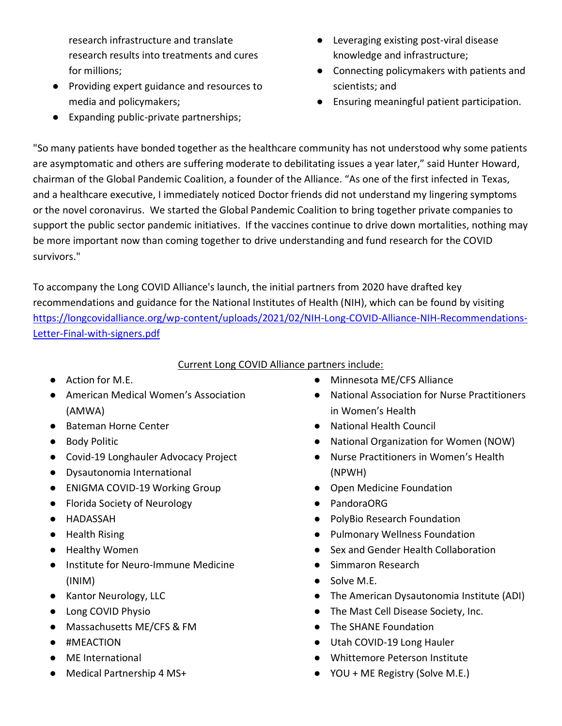research infrastructure and translate research results into treatments and cures for millions;

- Providing expert guidance and resources to media and policymakers;
- Expanding public-private partnerships;
- Leveraging existing post-viral disease knowledge and infrastructure;
- Connecting policymakers with patients and scientists; and
- Ensuring meaningful patient participation.

"So many patients have bonded together as the healthcare community has not understood why some patients are asymptomatic and others are suffering moderate to debilitating issues a year later," said Hunter Howard, chairman of the Global Pandemic Coalition, a founder of the Alliance. "As one of the first infected in Texas, and a healthcare executive, I immediately noticed Doctor friends did not understand my lingering symptoms or the novel coronavirus. We started the Global Pandemic Coalition to bring together private companies to support the public sector pandemic initiatives. If the vaccines continue to drive down mortalities, nothing may be more important now than coming together to drive understanding and fund research for the COVID survivors."

To accompany the Long COVID Alliance's launch, the initial partners from 2020 have drafted key recommendations and guidance for the National Institutes of Health (NIH), which can be found by visiting [https://longcovidalliance.org/wp-content/uploads/2021/02/NIH-Long-COVID-Alliance-NIH-Recommendations-](https://longcovidalliance.org/wp-content/uploads/2021/02/NIH-Long-COVID-Alliance-NIH-Recommendations-Letter-Final-with-signers.pdf)[Letter-Final-with-signers.pdf](https://longcovidalliance.org/wp-content/uploads/2021/02/NIH-Long-COVID-Alliance-NIH-Recommendations-Letter-Final-with-signers.pdf)

### Current Long COVID Alliance partners include:

- Action for M.E.
- American Medical Women's Association (AMWA)
- Bateman Horne Center
- Body Politic
- Covid-19 Longhauler Advocacy Project
- Dysautonomia International
- ENIGMA COVID-19 Working Group
- Florida Society of Neurology
- HADASSAH
- Health Rising
- Healthy Women
- Institute for Neuro-Immune Medicine (INIM)
- Kantor Neurology, LLC
- Long COVID Physio
- Massachusetts ME/CFS & FM
- #MEACTION
- ME International
- Medical Partnership 4 MS+
- Minnesota ME/CFS Alliance
- National Association for Nurse Practitioners in Women's Health
- National Health Council
- National Organization for Women (NOW)
- Nurse Practitioners in Women's Health (NPWH)
- Open Medicine Foundation
- PandoraORG
- PolyBio Research Foundation
- Pulmonary Wellness Foundation
- Sex and Gender Health Collaboration
- Simmaron Research
- Solve M.E.
- The American Dysautonomia Institute (ADI)
- The Mast Cell Disease Society, Inc.
- The SHANE Foundation
- Utah COVID-19 Long Hauler
- Whittemore Peterson Institute
- YOU + ME Registry (Solve M.E.)